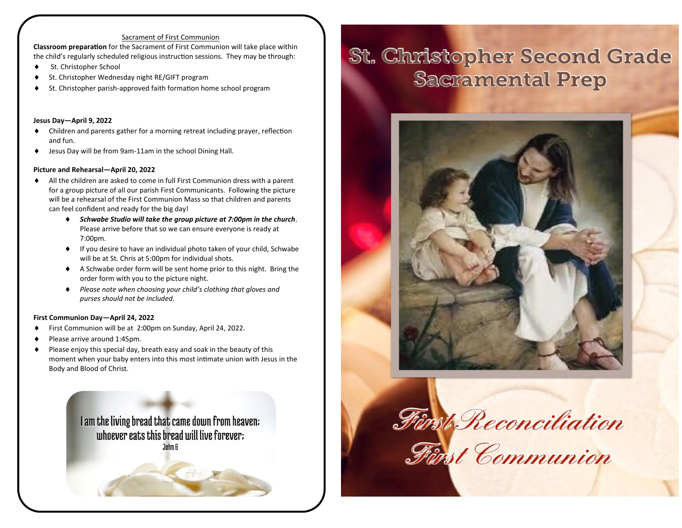#### Sacrament of First Communion

**Classroom preparation** for the Sacrament of First Communion will take place within the child's regularly scheduled religious instruction sessions. They may be through:

- ◆ St. Christopher School
- St. Christopher Wednesday night RE/GIFT program
- St. Christopher parish-approved faith formation home school program

#### **Jesus Day—April 9, 2022**

- Children and parents gather for a morning retreat including prayer, reflection and fun.
- Jesus Day will be from 9am-11am in the school Dining Hall.

#### **Picture and Rehearsal—April 20, 2022**

- All the children are asked to come in full First Communion dress with a parent for a group picture of all our parish First Communicants. Following the picture will be a rehearsal of the First Communion Mass so that children and parents can feel confident and ready for the big day!
	- *Schwabe Studio will take the group picture at 7:00pm in the church*. Please arrive before that so we can ensure everyone is ready at 7:00pm.
	- If you desire to have an individual photo taken of your child, Schwabe will be at St. Chris at 5:00pm for individual shots.
	- A Schwabe order form will be sent home prior to this night. Bring the order form with you to the picture night.
	- *Please note when choosing your child's clothing that gloves and purses should not be included.*

#### **First Communion Day—April 24, 2022**

- First Communion will be at 2:00pm on Sunday, April 24, 2022.
- Please arrive around 1:45pm.
- Please enjoy this special day, breath easy and soak in the beauty of this moment when your baby enters into this most intimate union with Jesus in the Body and Blood of Christ.

I am the living bread that came down from heaven: uthoever eats this bread utill live forever: John 6

# **St. Christopher Second Grade Sacramental Prep**